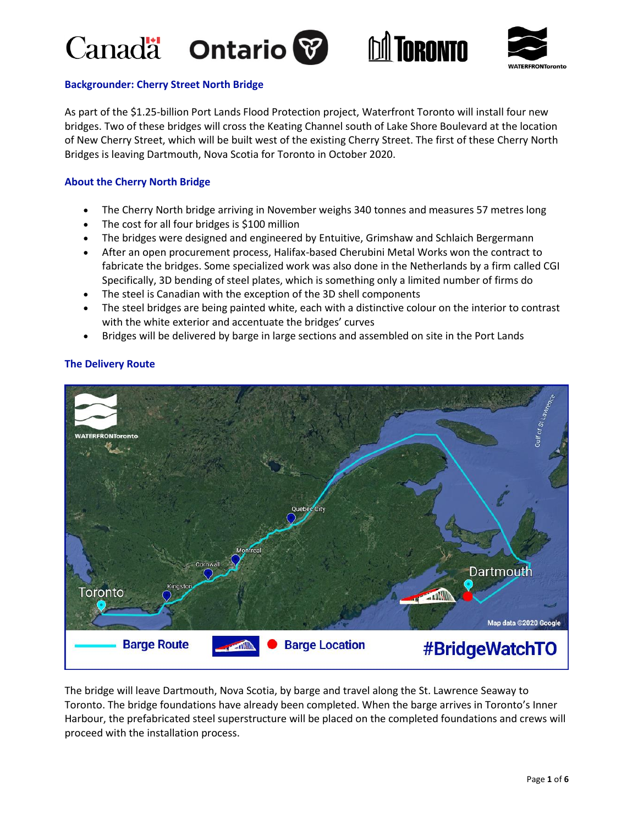# Canada **Ontario**







# **Backgrounder: Cherry Street North Bridge**

As part of the \$1.25-billion Port Lands Flood Protection project, Waterfront Toronto will install four new bridges. Two of these bridges will cross the Keating Channel south of Lake Shore Boulevard at the location of New Cherry Street, which will be built west of the existing Cherry Street. The first of these Cherry North Bridges is leaving Dartmouth, Nova Scotia for Toronto in October 2020.

# **About the Cherry North Bridge**

- The Cherry North bridge arriving in November weighs 340 tonnes and measures 57 metres long
- The cost for all four bridges is \$100 million
- The bridges were designed and engineered by Entuitive, Grimshaw and Schlaich Bergermann
- After an open procurement process, Halifax-based Cherubini Metal Works won the contract to fabricate the bridges. Some specialized work was also done in the Netherlands by a firm called CGI Specifically, 3D bending of steel plates, which is something only a limited number of firms do
- The steel is Canadian with the exception of the 3D shell components
- The steel bridges are being painted white, each with a distinctive colour on the interior to contrast with the white exterior and accentuate the bridges' curves
- Bridges will be delivered by barge in large sections and assembled on site in the Port Lands



# **The Delivery Route**

The bridge will leave Dartmouth, Nova Scotia, by barge and travel along the St. Lawrence Seaway to Toronto. The bridge foundations have already been completed. When the barge arrives in Toronto's Inner Harbour, the prefabricated steel superstructure will be placed on the completed foundations and crews will proceed with the installation process.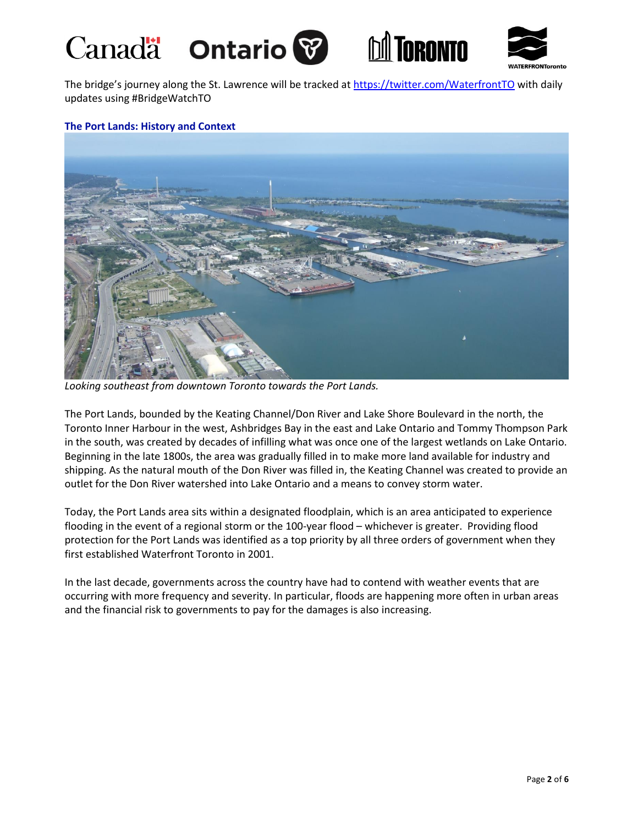# Canadä Ontario<sup>8</sup>





The bridge's journey along the St. Lawrence will be tracked at <https://twitter.com/WaterfrontTO> with daily updates using #BridgeWatchTO

### **The Port Lands: History and Context**



*Looking southeast from downtown Toronto towards the Port Lands.*

The Port Lands, bounded by the Keating Channel/Don River and Lake Shore Boulevard in the north, the Toronto Inner Harbour in the west, Ashbridges Bay in the east and Lake Ontario and Tommy Thompson Park in the south, was created by decades of infilling what was once one of the largest wetlands on Lake Ontario. Beginning in the late 1800s, the area was gradually filled in to make more land available for industry and shipping. As the natural mouth of the Don River was filled in, the Keating Channel was created to provide an outlet for the Don River watershed into Lake Ontario and a means to convey storm water.

Today, the Port Lands area sits within a designated floodplain, which is an area anticipated to experience flooding in the event of a regional storm or the 100-year flood – whichever is greater. Providing flood protection for the Port Lands was identified as a top priority by all three orders of government when they first established Waterfront Toronto in 2001.

In the last decade, governments across the country have had to contend with weather events that are occurring with more frequency and severity. In particular, floods are happening more often in urban areas and the financial risk to governments to pay for the damages is also increasing.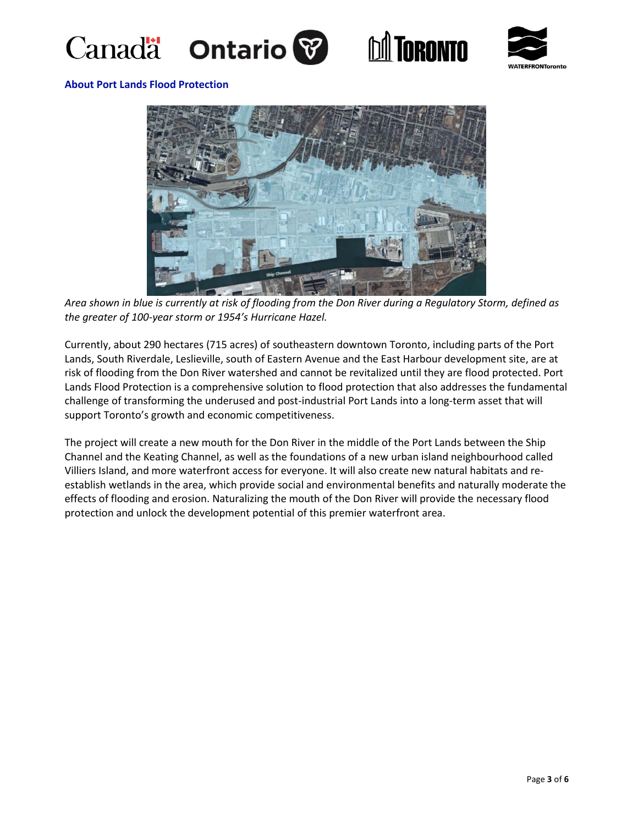







#### **About Port Lands Flood Protection**



*Area shown in blue is currently at risk of flooding from the Don River during a Regulatory Storm, defined as the greater of 100-year storm or 1954's Hurricane Hazel.*

Currently, about 290 hectares (715 acres) of southeastern downtown Toronto, including parts of the Port Lands, South Riverdale, Leslieville, south of Eastern Avenue and the East Harbour development site, are at risk of flooding from the Don River watershed and cannot be revitalized until they are flood protected. Port Lands Flood Protection is a comprehensive solution to flood protection that also addresses the fundamental challenge of transforming the underused and post-industrial Port Lands into a long-term asset that will support Toronto's growth and economic competitiveness.

The project will create a new mouth for the Don River in the middle of the Port Lands between the Ship Channel and the Keating Channel, as well as the foundations of a new urban island neighbourhood called Villiers Island, and more waterfront access for everyone. It will also create new natural habitats and reestablish wetlands in the area, which provide social and environmental benefits and naturally moderate the effects of flooding and erosion. Naturalizing the mouth of the Don River will provide the necessary flood protection and unlock the development potential of this premier waterfront area.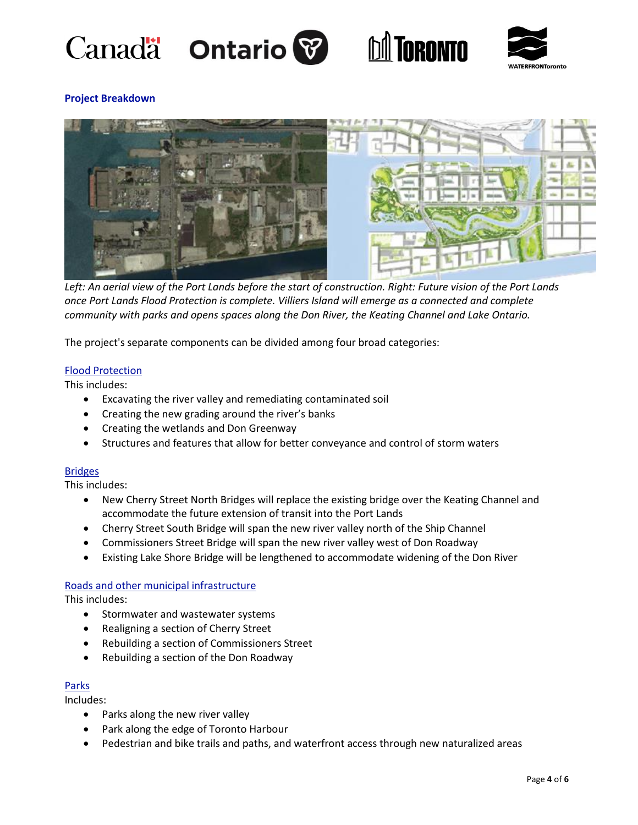







# **Project Breakdown**



*Left: An aerial view of the Port Lands before the start of construction. Right: Future vision of the Port Lands once Port Lands Flood Protection is complete. Villiers Island will emerge as a connected and complete community with parks and opens spaces along the Don River, the Keating Channel and Lake Ontario.*

The project's separate components can be divided among four broad categories:

### Flood Protection

This includes:

- Excavating the river valley and remediating contaminated soil
- Creating the new grading around the river's banks
- Creating the wetlands and Don Greenway
- Structures and features that allow for better conveyance and control of storm waters

#### Bridges

This includes:

- New Cherry Street North Bridges will replace the existing bridge over the Keating Channel and accommodate the future extension of transit into the Port Lands
- Cherry Street South Bridge will span the new river valley north of the Ship Channel
- Commissioners Street Bridge will span the new river valley west of Don Roadway
- Existing Lake Shore Bridge will be lengthened to accommodate widening of the Don River

#### Roads and other municipal infrastructure

This includes:

- Stormwater and wastewater systems
- Realigning a section of Cherry Street
- Rebuilding a section of Commissioners Street
- Rebuilding a section of the Don Roadway

#### Parks

Includes:

- Parks along the new river valley
- Park along the edge of Toronto Harbour
- Pedestrian and bike trails and paths, and waterfront access through new naturalized areas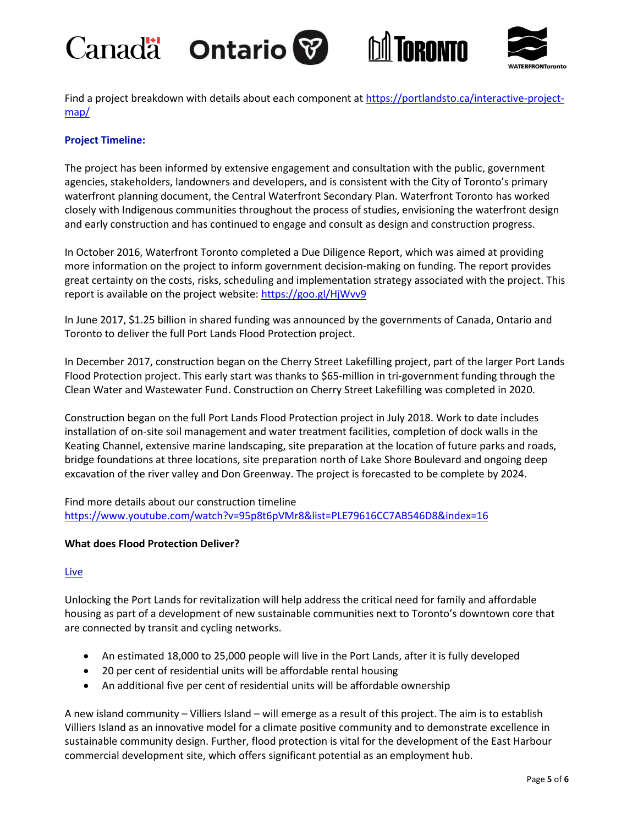





Find a project breakdown with details about each component at [https://portlandsto.ca/interactive-project](https://portlandsto.ca/interactive-project-map/)[map/](https://portlandsto.ca/interactive-project-map/)

# **Project Timeline:**

The project has been informed by extensive engagement and consultation with the public, government agencies, stakeholders, landowners and developers, and is consistent with the City of Toronto's primary waterfront planning document, the Central Waterfront Secondary Plan. Waterfront Toronto has worked closely with Indigenous communities throughout the process of studies, envisioning the waterfront design and early construction and has continued to engage and consult as design and construction progress.

In October 2016, Waterfront Toronto completed a Due Diligence Report, which was aimed at providing more information on the project to inform government decision-making on funding. The report provides great certainty on the costs, risks, scheduling and implementation strategy associated with the project. This report is available on the project website[: https://goo.gl/HjWvv9](https://goo.gl/HjWvv9)

In June 2017, \$1.25 billion in shared funding was announced by the governments of Canada, Ontario and Toronto to deliver the full Port Lands Flood Protection project.

In December 2017, construction began on the Cherry Street Lakefilling project, part of the larger Port Lands Flood Protection project. This early start was thanks to \$65-million in tri-government funding through the Clean Water and Wastewater Fund. Construction on Cherry Street Lakefilling was completed in 2020.

Construction began on the full Port Lands Flood Protection project in July 2018. Work to date includes installation of on-site soil management and water treatment facilities, completion of dock walls in the Keating Channel, extensive marine landscaping, site preparation at the location of future parks and roads, bridge foundations at three locations, site preparation north of Lake Shore Boulevard and ongoing deep excavation of the river valley and Don Greenway. The project is forecasted to be complete by 2024.

Find more details about our construction timeline <https://www.youtube.com/watch?v=95p8t6pVMr8&list=PLE79616CC7AB546D8&index=16>

### **What does Flood Protection Deliver?**

#### **Live**

Unlocking the Port Lands for revitalization will help address the critical need for family and affordable housing as part of a development of new sustainable communities next to Toronto's downtown core that are connected by transit and cycling networks.

- An estimated 18,000 to 25,000 people will live in the Port Lands, after it is fully developed
- 20 per cent of residential units will be affordable rental housing
- An additional five per cent of residential units will be affordable ownership

A new island community – Villiers Island – will emerge as a result of this project. The aim is to establish Villiers Island as an innovative model for a climate positive community and to demonstrate excellence in sustainable community design. Further, flood protection is vital for the development of the East Harbour commercial development site, which offers significant potential as an employment hub.